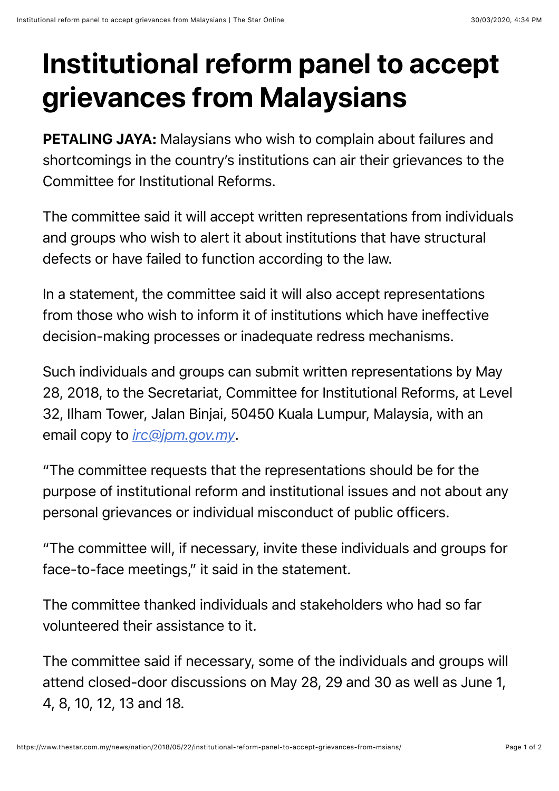## **Institutional reform panel to accept grievances from Malaysians**

PETALING JAYA: Malaysians who wish to complain about failures and shortcomings in the country's institutions can air their grievances to the Committee for Institutional Reforms.

The committee said it will accept written representations from individuals and groups who wish to alert it about institutions that have structural defects or have failed to function according to the law.

In a statement, the committee said it will also accept representations from those who wish to inform it of institutions which have ineffective decision-making processes or inadequate redress mechanisms.

Such individuals and groups can submit written representations by May 28, 2018, to the Secretariat, Committee for Institutional Reforms, at Level 32, Ilham Tower, Jalan Binjai, 50450 Kuala Lumpur, Malaysia, with an email copy to *[irc@jpm.gov.my](mailto:irc@jpm.gov.my)*.

"The committee requests that the representations should be for the purpose of institutional reform and institutional issues and not about any personal grievances or individual misconduct of public officers.

"The committee will, if necessary, invite these individuals and groups for face-to-face meetings," it said in the statement.

The committee thanked individuals and stakeholders who had so far volunteered their assistance to it.

The committee said if necessary, some of the individuals and groups will attend closed-door discussions on May 28, 29 and 30 as well as June 1, 4, 8, 10, 12, 13 and 18.